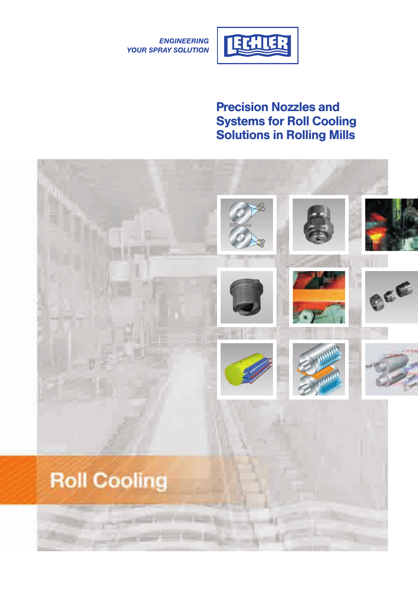



### **Precision Nozzles and Systems for Roll Cooling Solutions in Rolling Mills**

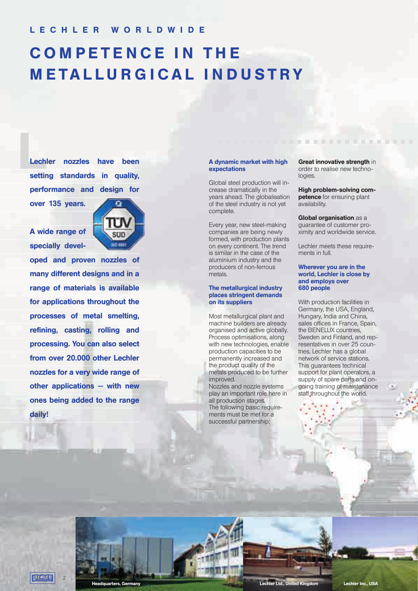## **C O M P E T E N C E I N T H E M E T A L L U R G I C A L I N D U S T R Y**

Lechler nozzles have been **setting standards in quality, performance and design for over 135 years.**

**A wide range of specially devel-**



**oped and proven nozzles of many different designs and in a range of materials is available for applications throughout the processes of metal smelting, refining, casting, rolling and processing. You can also select from over 20.000 other Lechler nozzles for a very wide range of other applications — with new ones being added to the range daily!**

#### **A dynamic market with high expectations**

Global steel production will increase dramatically in the years ahead. The globalisation of the steel industry is not yet complete.

Every year, new steel-making companies are being newly formed, with production plants on every continent. The trend is similar in the case of the aluminium industry and the producers of non-ferrous metals.

#### **The metallurgical industry places stringent demands on its suppliers**

Most metallurgical plant and machine builders are already organised and active globally. Process optimisations, along with new technologies, enable production capacities to be permanently increased and the product quality of the metals produced to be further improved.

Nozzles and nozzle systems play an important role here in all production stages. The following basic requirements must be met for a successful partnership:

**Great innovative strength** in order to realise new technologies.

. . . . . . . . . . . . . . . .

**High problem-solving competence** for ensuring plant availability.

**Global organisation** as a guarantee of customer proximity and worldwide service.

Lechler meets these requirements in full

#### **Wherever you are in the world, Lechler is close by and employs over 680 people**

With production facilities in Germany, the USA, England, Hungary, India and China, sales offices in France, Spain, the BENELUX countries, Sweden and Finland, and representatives in over 25 countries, Lechler has a global network of service stations. This guarantees technical support for plant operators, a supply of spare parts and ongoing training of maintenance staff throughout the world.



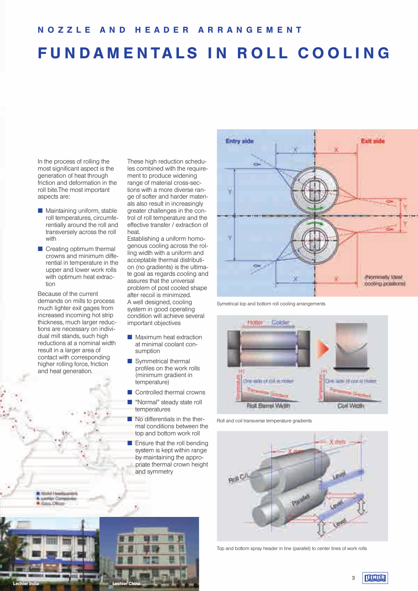## **FUNDAMENTALS IN ROLL COOLING**

In the process of rolling the most significant aspect is the generation of heat through friction and deformation in the roll bite.The most important aspects are:

- $\blacksquare$  Maintaining uniform, stable roll temperatures, circumferentially around the roll and transversely across the roll with
- $\blacksquare$  Creating optimum thermal crowns and minimum differential in temperature in the upper and lower work rolls with optimum heat extraction

Because of the current demands on mills to process much lighter exit gages from increased incoming hot strip thickness, much larger reductions are necessary on individual mill stands, such high reductions at a nominal width result in a larger area of contact with corresponding higher rolling force, friction and heat generation.

These high reduction schedules combined with the requirement to produce widening range of material cross-sections with a more diverse range of softer and harder materials also result in increasingly greater challenges in the control of roll temperature and the effective transfer / extraction of heat.

Establishing a uniform homogenous cooling across the rolling width with a uniform and acceptable thermal distribution (no gradients) is the ultimate goal as regards cooling and assures that the universal problem of post cooled shape after recoil is minimized. A well designed, cooling system in good operating condition will achieve several important objectives

- **Naximum heat extraction** at minimal coolant consumption
- $\blacksquare$  Symmetrical thermal profiles on the work rolls (minimum gradient in temperature)
- **n** Controlled thermal crowns
- **n** "Normal" steady state roll
- temperatures  $\blacksquare$  No differentials in the ther-
- mal conditions between the top and bottom work roll
- $\blacksquare$  Ensure that the roll bending system is kept within range by maintaining the appropriate thermal crown height and symmetry



Symetrical top and bottom roll cooling arrangements



Roll and coil transverse temperature gradients



Top and bottom spray header in line (parallel) to center lines of work rolls



**TECHLER** 3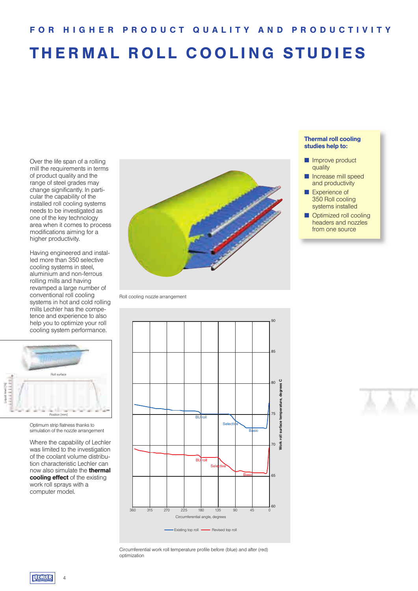# **THERMAL ROLL COOLING STUDIES**

Over the life span of a rolling mill the requirements in terms of product quality and the range of steel grades may change significantly. In particular the capability of the installed roll cooling systems needs to be investigated as one of the key technology area when it comes to process modifications aiming for a higher productivity.

Having engineered and installed more than 350 selective cooling systems in steel, aluminium and non-ferrous rolling mills and having revamped a large number of conventional roll cooling systems in hot and cold rolling mills Lechler has the competence and experience to also help you to optimize your roll cooling system performance.



Optimum strip flatness thanks to simulation of the nozzle arrangement

Where the capability of Lechler was limited to the investigation of the coolant volume distribution characteristic Lechler can now also simulate the **thermal cooling effect** of the existing work roll sprays with a computer model.



Roll cooling nozzle arrangement



Circumferential work roll temperature profile before (blue) and after (red) optimization

#### **Thermal roll cooling studies help to:**

- **n** Improve product quality
- **n** Increase mill speed and productivity
- **n** Experience of 350 Roll cooling systems installed
- **n** Optimized roll cooling headers and nozzles from one source

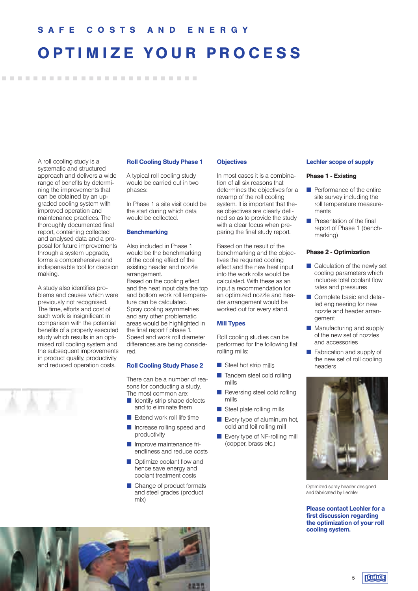### **OPTIMIZE YOUR PROCESS**

A roll cooling study is a systematic and structured approach and delivers a wide range of benefits by determining the improvements that can be obtained by an upgraded cooling system with improved operation and maintenance practices. The thoroughly documented final report, containing collected and analysed data and a proposal for future improvements through a system upgrade, forms a comprehensive and indispensable tool for decision making.

........................

A study also identifies problems and causes which were previously not recognised. The time, efforts and cost of such work is insignificant in comparison with the potential benefits of a properly executed study which results in an optimised roll cooling system and the subsequent improvements in product quality, productivity and reduced operation costs.

#### **Roll Cooling Study Phase 1**

A typical roll cooling study would be carried out in two phases:

In Phase 1 a site visit could be the start during which data would be collected.

#### **Benchmarking**

Also included in Phase 1 would be the benchmarking of the cooling effect of the existing header and nozzle arrangement. Based on the cooling effect and the heat input data the top and bottom work roll temperature can be calculated. Spray cooling asymmetries and any other problematic areas would be highlighted in the final report f phase 1. Speed and work roll diameter differences are being considered.

#### **Roll Cooling Study Phase 2**

There can be a number of reasons for conducting a study. The most common are:

- $\blacksquare$  Identify strip shape defects and to eliminate them
- $\blacksquare$  Extend work roll life time
- **n** Increase rolling speed and productivity
- $\blacksquare$  Improve maintenance friendliness and reduce costs
- **n** Optimize coolant flow and hence save energy and coolant treatment costs
- $\blacksquare$  Change of product formats and steel grades (product mix)

#### **Objectives**

In most cases it is a combination of all six reasons that determines the objectives for a revamp of the roll cooling system. It is important that these objectives are clearly defined so as to provide the study with a clear focus when preparing the final study report.

Based on the result of the benchmarking and the objectives the required cooling effect and the new heat input into the work rolls would be calculated. With these as an input a recommendation for an optimized nozzle and header arrangement would be worked out for every stand.

#### **Mill Types**

Roll cooling studies can be performed for the following flat rolling mills:

- $\blacksquare$  Steel hot strip mills
- $\blacksquare$  Tandem steel cold rolling mills
- $\blacksquare$  Reversing steel cold rolling mills
- $\blacksquare$  Steel plate rolling mills
- $\blacksquare$  Every type of aluminum hot. cold and foil rolling mill
- $\blacksquare$  Every type of NF-rolling mill (copper, brass etc.)

#### **Lechler scope of supply**

#### **Phase 1 - Existing**

- $\blacksquare$  Performance of the entire site survey including the roll temperature measurements
- $\blacksquare$  Presentation of the final report of Phase 1 (benchmarking)

#### **Phase 2 - Optimization**

- $\blacksquare$  Calculation of the newly set cooling parameters which includes total coolant flow rates and pressures
- Complete basic and detailed engineering for new nozzle and header arrangement
- $\blacksquare$  Manufacturing and supply of the new set of nozzles and accessories
- $\blacksquare$  Fabrication and supply of the new set of roll cooling headers



Optimized spray header designed and fabricated by Lechler

**Please contact Lechler for a first discussion regarding the optimization of your roll cooling system.**

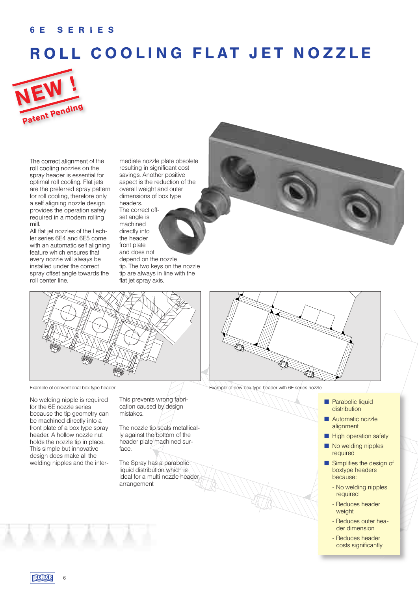### **6 E S E R I E S**

## **ROLL COOLING FLAT JET NOZZLE**



The correct alignment of the roll cooling nozzles on the spray header is essential for optimal roll cooling. Flat jets are the preferred spray pattern for roll cooling, therefore only a self aligning nozzle design provides the operation safety required in a modern rolling mill.

All flat jet nozzles of the Lechler series 6E4 and 6E5 come with an automatic self aligning feature which ensures that every nozzle will always be installed under the correct spray offset angle towards the roll center line.

mediate nozzle plate obsolete resulting in significant cost savings. Another positive aspect is the reduction of the overall weight and outer dimensions of box type headers. The correct offset angle is machined directly into the header front plate and does not depend on the nozzle tip. The two keys on the nozzle tip are always in line with the flat jet spray axis.





No welding nipple is required for the 6E nozzle series because the tip geometry can be machined directly into a front plate of a box type spray header. A hollow nozzle nut holds the nozzle tip in place. This simple but innovative design does make all the welding nipples and the inter-

This prevents wrong fabrication caused by design mistakes.

The nozzle tip seals metallically against the bottom of the header plate machined surface.

The Spray has a parabolic liquid distribution which is ideal for a multi nozzle header arrangement



Example of conventional box type header Example of new box type header with 6E series nozzle

- **n** Parabolic liquid **distribution**
- Automatic nozzle alignment
- $\blacksquare$  High operation safety
- No welding nipples required
- $\blacksquare$  Simplifies the design of boxtype headers because:
	- No welding nipples required
	- Reduces header weight
	- Reduces outer header dimension
	- Reduces header costs significantly

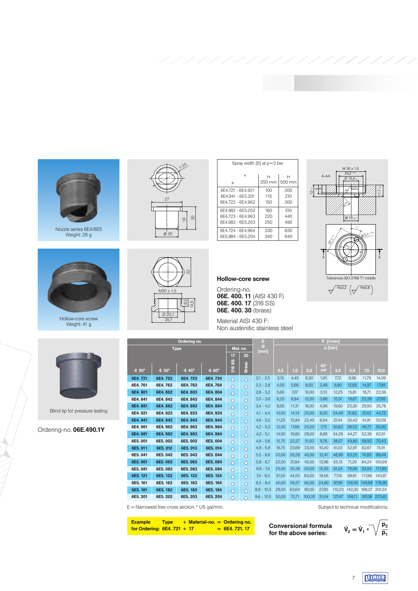

Nozzle series 6E4/6E5 Weight: 28 g



Weight: 41 g

Ordering-no. **06E.490.1Y**

Blind tip for pressure testing





| Spray width [B] at p=3 bar |        |                  |
|----------------------------|--------|------------------|
| н                          | н      | н                |
| B                          | 250 mm | $500 \text{ mm}$ |
| 6F4.721 - 6F4.921          | 100    | 200              |
| 6F4.941 - 6F5.201          | 115    | 210              |
| 6F4 722 - 6F4 962          | 150    | 300              |
| 6F4.982 - 6F5.202          | 160    | 310              |
| 6F4.723 - 6F4.963          | 220    | 440              |
| 6F4 983 - 6F5 203          | 250    | 490              |
| 6F4.724 - 6F4.964          | 330    | 630              |
| 6E5.984 - 6E5.204          | 340    | 640              |



#### **Hollow-core screw**

Ordering-no. **06E. 400. 11** (AISI 430 F) **06E. 400. 17** (316 SS) **06E. 400. 30** (brass)

Material AISI 430 F: Non austenitic stainless steel

|              |                               | Ordering no. |                   |                 |              | E.           |       |       |        | V [I/min] |        |        |        |        |
|--------------|-------------------------------|--------------|-------------------|-----------------|--------------|--------------|-------|-------|--------|-----------|--------|--------|--------|--------|
|              | <b>Type</b>                   |              |                   |                 | Mat. no.     | ø<br>[mm]    |       |       |        | p [bar]   |        |        |        |        |
|              |                               |              |                   | 17              | 30           |              |       |       |        |           |        |        |        |        |
|              |                               |              |                   | SS              |              |              |       |       |        | 40*       |        |        |        |        |
| <b>∢</b> 20° | $\triangleleft$ 30 $^{\circ}$ | <b>∢</b> 45° | $\sqrt{60^\circ}$ | $\frac{6}{316}$ | <b>Brass</b> |              | 0,5   | 1,0   | 2,0    | psi       | 3,0    | 5,0    | 7,0    | 10,0   |
| 6E4.721      | 6E4.722                       | 6E4.723      | 6E4.724           | $\circ$         | $\circ$      | $2,1 - 2,5$  | 3,15  | 4.45  | 6.30   | 1,95      | 7,72   | 9,96   | 11,79  | 14,09  |
| 6E4.761      | 6E4.762                       | 6E4.763      | 6E4.764           | $\circ$         | $\circ$      | $2,3 - 2,8$  | 4.00  | 5.66  | 8,00   | 2,48      | 9,80   | 12,65  | 14,97  | 17,89  |
| 6E4.801      | 6E4.802                       | 6E4.803      | 6E4.804           | $\circ$         | $\circ$      | $2,6 - 3,2$  | 5,00  | 7.07  | 10,00  | 3,10      | 12,25  | 15,81  | 18,71  | 22,36  |
| 6E4.841      | 6E4.842                       | 6E4.843      | 6E4.844           | $\circ$         | $\circ$      | $3,0 - 3,6$  | 6,25  | 8.84  | 12,50  | 3,88      | 15,31  | 19,67  | 23,39  | 27,95  |
| 6E4.881      | 6E4.882                       | 6E4.883      | 6E4.884           | $\circ$         | $\Omega$     | $3,4 - 4,0$  | 8,00  | 11,31 | 16.00  | 4,96      | 19,60  | 25,30  | 29,93  | 35,78  |
| 6E4.921      | 6E4.922                       | 6E4.923      | 6E4.924           | $\Omega$        | $\Omega$     | $4,1 - 4,4$  | 10,00 | 14,14 | 20,00  | 6,20      | 24,49  | 31,62  | 37,42  | 44,72  |
| 6E4.941      | 6E4.942                       | 6E4.943      | 6E4.944           | $\circ$         | $\circ$      | $4,6 - 5,0$  | 11,20 | 15.84 | 22,40  | 6,94      | 27,44  | 35,42  | 41,91  | 50,09  |
| 6E4.961      | 6E4.962                       | 6E4.963      | 6E4.964           | $\Omega$        | $\Omega$     | $4,2 - 5,3$  | 12,50 | 17.68 | 25,00  | 7,75      | 30,62  | 39,53  | 46,77  | 55,90  |
| 6E4.981      | 6E4.982                       | 6E4.983      | 6E4.984           | $\circ$         | $\circ$      | $4,2 - 5,1$  | 14,00 | 19,80 | 28,00  | 8,68      | 34,29  | 44,27  | 52,38  | 62,61  |
| 6E5.001      | 6E5.002                       | 6E5.003      | 6E5.004           | $\Omega$        | $\Omega$     | $4,8 - 5,6$  | 15,75 | 22,27 | 31,50  | 9,76      | 38,57  | 49,80  | 58,92  | 70,43  |
| 6E5.011      | 6E5.012                       | 6E5.013      | 6E5.014           | $\circ$         | $\circ$      | $4.9 - 5.8$  | 16,75 | 23,69 | 33,50  | 10,40     | 41,03  | 52,97  | 62,67  | 74,91  |
| 6E5.041      | 6E5.042                       | 6E5.043      | 6E5.044           | $\circ$         | $\circ$      | $5,5 - 6,6$  | 20,00 | 28,28 | 40,00  | 12,41     | 48,99  | 63,25  | 74,83  | 89,44  |
| 6E5.061      | 6E5.062                       | 6E5.063      | 6E5.064           | $\circ$         | $\Omega$     | $5,8 - 6,7$  | 22,50 | 31,84 | 45,00  | 13,96     | 55,15  | 71,20  | 84,24  | 100,69 |
| 6E5.081      | 6E5.082                       | 6E5.083      | 6E5.084           | $\circ$         | $\Omega$     | $6,6 - 7,4$  | 25,00 | 35,36 | 50,00  | 15,50     | 61,24  | 79,06  | 93,54  | 111,80 |
| 6E5.121      | 6E5.122                       | 6E5.123      | 6E5.124           | $\circ$         | $\Omega$     | $7,4 - 8,3$  | 31.50 | 44.55 | 63.00  | 19,56     | 77,16  | 99.61  | 117,86 | 140,87 |
| 6E5.161      | 6E5.162                       | 6E5.163      | 6E5.164           | $\circ$         | $\circ$      | $8,3 - 8,4$  | 40,00 | 56,57 | 80,00  | 24,80     | 97,99  | 126,50 | 149,68 | 178,90 |
| 6E5.181      | 6E5.182                       | 6E5.183      | 6E5.184           | $\circ$         | $\circ$      | $8,9 - 10,3$ | 28.50 | 63.64 | 90.00  | 27,90     | 110,23 | 142,30 | 168,37 | 201,24 |
| 6E5.201      | 6E5.202                       | 6E5.203      | 6E5.204           | $\Omega$        | $\Omega$     | $9,6 - 10,5$ | 50,00 | 70,71 | 100,00 | 31,04     | 127,47 | 158,11 | 187.08 | 223,61 |

E = Narrowest free cross section. \* US gal/min. Subject to technical modifications.

| <b>Example</b>               | <b>Type</b> |  | $+$ Material-no. $=$ Ordering no. |
|------------------------------|-------------|--|-----------------------------------|
| for Ordering: $6E4.721 + 17$ |             |  | $= 6E4.721.17$                    |

**Conversional formula for the above series:**

$$
\dot{V}_2 = \dot{V}_1 \star \sqrt{\frac{p_2}{p_1}}
$$

**ELHIER** 7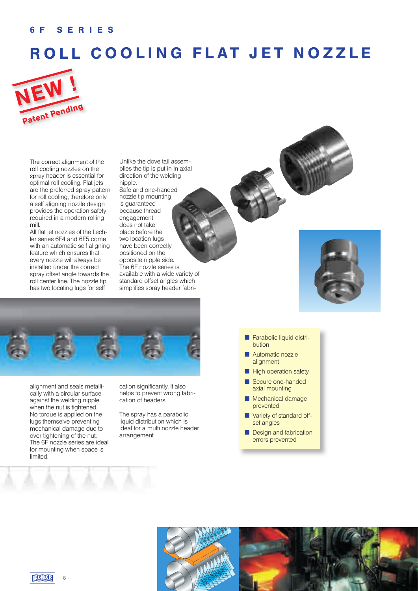### **6 F S E R I E S**

### **ROLL COOLING FLAT JET NOZZLE**



The correct alignment of the roll cooling nozzles on the spray header is essential for optimal roll cooling. Flat jets are the preferred spray pattern for roll cooling, therefore only a self aligning nozzle design provides the operation safety required in a modern rolling mill.

All flat jet nozzles of the Lechler series 6F4 and 6F5 come with an automatic self aligning feature which ensures that every nozzle will always be installed under the correct spray offset angle towards the roll center line. The nozzle tip has two locating lugs for self

Unlike the dove tail assemblies the tip is put in in axial direction of the welding nipple. Safe and one-handed nozzle tip mounting is guaranteed because thread engagement does not take place before the two location lugs

have been correctly positioned on the opposite nipple side. The 6F nozzle series is available with a wide variety of standard offset angles which simplifies spray header fabri-



alignment and seals metallically with a circular surface against the welding nipple when the nut is tightened. No torque is applied on the lugs themselve preventing mechanical damage due to over tightening of the nut. The 6F nozzle series are ideal for mounting when space is limited.

cation significantly. It also helps to prevent wrong fabrication of headers.

The spray has a parabolic liquid distribution which is ideal for a multi nozzle header arrangement

- 
- **n** Parabolic liquid distribution
- Automatic nozzle alignment
- **High operation safety**
- Secure one-handed axial mounting
- Mechanical damage prevented
- **N** Variety of standard offset angles
- Design and fabrication errors prevented

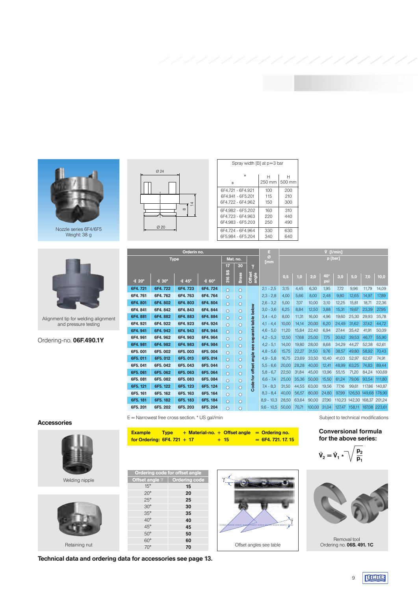

Nozzle series 6F4/6F5 Weight: 38 g



Alignment tip for welding alignment and pressure testing

Ordering-no. **06F.490.1Y**





**Technical data and ordering data for accessories see page 13.**

60° **60**

|          | Spray width [B] at p=3 bar             |             |                  |
|----------|----------------------------------------|-------------|------------------|
| 724      | н<br>B                                 | н<br>250 mm | 500 <sub>m</sub> |
|          | 6F4.721 - 6F4.921                      | 100         | 200              |
| 4        | 6F4.941 - 6F5.201<br>6F4.722 - 6F4.962 | 115<br>150  | 210<br>300       |
| $\infty$ | 6F4.982 - 6F5.202<br>6F4.723 - 6F4.963 | 160<br>220  | 310<br>440       |
| Ø 20     | 6F4.983 - 6F5.203                      | 250         | 490              |
|          | 6F4.724 - 6F4.964                      | 330         | 630              |
|          | 6F5.984 - 6F5.204                      | 340         | 640              |

 $\varnothing$ 

|              |               | Orderin no. |                     |                   |              |                                                | Ε               |       |       |         | V [I/min] |        |        |               |        |
|--------------|---------------|-------------|---------------------|-------------------|--------------|------------------------------------------------|-----------------|-------|-------|---------|-----------|--------|--------|---------------|--------|
|              | <b>Type</b>   |             |                     |                   | Mat. no.     |                                                | Ø<br>[mm        |       |       | p [bar] |           |        |        |               |        |
|              |               |             |                     | 17                | 30           | M                                              |                 |       |       |         |           |        |        |               |        |
|              |               |             |                     | 316 <sub>SS</sub> |              |                                                |                 | 0,5   | 1,0   | 2,0     | 40*       | 3,0    | 5,0    | 7,0           | 10,0   |
| <b>∢</b> 20° | $\dot{4}$ 30° | ∢ 45°       | $\triangleleft$ 60° |                   | <b>Brass</b> | Offset<br>angle                                |                 |       |       |         | psi       |        |        |               |        |
| 6F4.721      | 6F4.722       | 6F4.723     | 6F4.724             | $\circ$           | $\circ$      |                                                | 2,5<br>2.1<br>٠ | 3,15  | 4.45  | 6.30    | 1,95      | 7.72   | 9.96   | 11.79         | 14.09  |
| 6F4.761      | 6F4.762       | 6F4.763     | 6F4.764             | $\circ$           | $\circ$      |                                                | $2,3 - 2,8$     | 4,00  | 5.66  | 8.00    | 2,48      | 9.80   | 12,65  | 14,97         | 17,89  |
| 6F4.801      | 6F4.802       | 6F4.803     | 6F4.804             | $\circ$           | $\circ$      |                                                | $2,6 - 3,2$     | 5,00  | 7.07  | 10,00   | 3,10      | 12,25  | 15.81  | 18.71         | 22,36  |
| 6F4.841      | 6F4.842       | 6F4.843     | 6F4.844             | $\circ$           | $\circ$      | Code for offset angle see separate table below | $3,0 - 3,6$     | 6,25  | 8.84  | 12,50   | 3,88      | 15,31  | 19,67  | 23,39         | 27,95  |
| 6F4.881      | 6F4.882       | 6F4.883     | 6F4.884             | $\circ$           | $\circ$      |                                                | $3,4 - 4,0$     | 8.00  | 11,31 | 16,00   | 4,96      | 19.60  | 25.30  | 29,93         | 35,78  |
| 6F4.921      | 6F4.922       | 6F4.923     | 6F4.924             | $\circ$           | $\circ$      |                                                | $4,1 - 4,4$     | 10,00 | 14,14 | 20,00   | 6,20      | 24,49  | 31,62  | 37,42         | 44,72  |
| 6F4.941      | 6F4.942       | 6F4.943     | 6F4.944             | $\circ$           | $\circ$      |                                                | $4,6 - 5,0$     | 11,20 | 15,84 | 22,40   | 6,94      | 27.44  | 35,42  | 41,91         | 50,09  |
| 6F4.961      | 6F4.962       | 6F4.963     | 6F4.964             | $\circ$           | $\circ$      |                                                | $4,2 - 5,3$     | 12,50 | 17,68 | 25,00   | 7,75      | 30,62  | 39,53  | 46,77         | 55,90  |
| 6F4.981      | 6F4.982       | 6F4.983     | 6F4.984             | $\Omega$          | $\circ$      |                                                | $4,2 - 5,1$     | 14,00 | 19,80 | 28,00   | 8.68      | 34,29  | 44,27  | 52,38         | 62,61  |
| 6F5.001      | 6F5.002       | 6F5.003     | 6F5.004             | $\circ$           | $\circ$      |                                                | $4,8 - 5,6$     | 15,75 | 22,27 | 31,50   | 9,76      | 38,57  | 49,80  | 58,92         | 70,43  |
| 6F5.011      | 6F5.012       | 6F5.013     | 6F5.014             | $\circ$           | $\circ$      |                                                | $4.9 - 5.8$     | 16,75 | 23,69 | 33,50   | 10,40     | 41,03  | 52,97  | 62,67         | 74,91  |
| 6F5.041      | 6F5.042       | 6F5.043     | 6F5.044             | $\circ$           | $\circ$      |                                                | $5,5 - 6,6$     | 20,00 | 28,28 | 40,00   | 12,41     | 48,99  | 63.25  | 74.83         | 89,44  |
| 6F5.061      | 6F5.062       | 6F5.063     | 6F5.064             | $\circ$           | $\circ$      |                                                | $5.8 - 6.7$     | 22,50 | 31,84 | 45,00   | 13,96     | 55,15  | 71,20  | 84,24         | 100,69 |
| 6F5.081      | 6F5.082       | 6F5.083     | 6F5.084             | $\Omega$          | $\circ$      |                                                | $6,6 - 7,4$     | 25,00 | 35,36 | 50,00   | 15,50     | 61,24  | 79.06  | 93.54         | 111,80 |
| 6F5.121      | 6F5.122       | 6F5.123     | 6F5.124             | $\Omega$          | $\circ$      |                                                | $7,4 - 8,3$     | 31,50 | 44,55 | 63,00   | 19,56     | 77,16  | 99.61  | 117,86        | 140,87 |
| 6F5.161      | 6F5.162       | 6F5.163     | 6F5.164             | $\circ$           | $\circ$      |                                                | $8,3 - 8,4$     | 40,00 | 56,57 | 80,00   | 24,80     | 97,99  | 126.50 | 149.68        | 178,90 |
| 6F5.181      | 6F5.182       | 6F5.183     | 6F5.184             | $\circ$           | $\circ$      |                                                | 8.9<br>$-10.3$  | 28,50 | 63,64 | 90,00   | 27,90     | 110.23 | 142.30 | 168,37 201,24 |        |
| 6F5.201      | 6F5.202       | 6F5.203     | 6F5.204             | $\circ$           | $\circ$      |                                                | $9,6 - 10,5$    | 50,00 | 70,71 | 100,00  | 31,04     | 127,47 | 158.11 | 187,08        | 223,61 |

Spray width [B] at p=3 bar

H 500 mm

E = Narrowest free cross section. \* US gal/min Subject to technical modifications<br> **Accessories** 

| <b>Example</b>               | <b>Type</b> |  | $+$ Material-no. $+$ Offset angle $=$ Ordering no. |                   |
|------------------------------|-------------|--|----------------------------------------------------|-------------------|
| for Ordering: $6F4.721 + 17$ |             |  | $+ 15$                                             | $= 6F4.721.17.15$ |

**Ordering code for offset angle Offset angle**  $\gamma$  **Ordering code N** 15° **15** 20° **20** 25° **25** 30° **30** 35° **35** 40° **40** 45° **45** 50° **50** 70° **70**

$$
\overbrace{\qquad \qquad }^{r^2 \text{ odd}} \qquad
$$

Offset angles see table

#### **Conversional formula for the above series:**

$$
\dot{V}_2=\dot{V}_1*\sqrt{\frac{p_2}{p_1}}
$$



Removal tool Ordering no. **06S. 491. 1C**

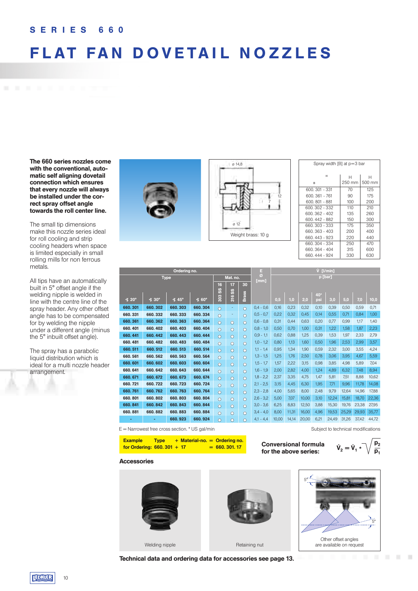### **S E R I E S 6 6 0**

### **FLAT FAN DOVETAIL NOZZLES**

**The 660 series nozzles come with the conventional, automatic self aligning dovetail connection which ensures that every nozzle will always be installed under the correct spray offset angle towards the roll center line.** 

The small tip dimensions make this nozzle series ideal for roll cooling and strip cooling headers when space is limited especially in small rolling mills for non ferrous metals.

All tips have an automatically built in 5° offset angle if the welding nipple is welded in line with the centre line of the spray header. Any other offset angle has to be compensated for by welding the nipple under a different angle (minus the 5° inbuilt offset angle).

The spray has a parabolic liquid distribution which is ideal for a multi nozzle header arrangement.





| Spray width [B] at p=3 bar |             |             |
|----------------------------|-------------|-------------|
| н<br>B                     | н<br>250 mm | н<br>500 mm |
| 600.301 - 331              | 70          | 125         |
| 600. 361 - 761             | 90          | 175         |
| 600, 801 - 881             | 100         | 200         |
| 600.302 - 332              | 110         | 210         |
| 600.362 - 402              | 135         | 260         |
| 600.442 - 882              | 150         | 300         |
| 660, 303 - 333             | 175         | 350         |
| 660, 363 - 403             | 200         | 400         |
| 660, 443 - 923             | 220         | 440         |
| 660, 304 - 334             | 250         | 470         |
| 660, 364 - 404             | 315         | 600         |
| 660, 444 - 924             | 330         | 630         |

|              |                               | Ordering no. |                     |                |          |              | E             | $V$ [ $V$ min] |       |       |            |       |       |       |       |
|--------------|-------------------------------|--------------|---------------------|----------------|----------|--------------|---------------|----------------|-------|-------|------------|-------|-------|-------|-------|
|              | <b>Type</b>                   |              |                     |                | Mat. no. |              | Ø<br>[mm]     |                |       |       | p [bar]    |       |       |       |       |
|              |                               |              |                     | 16             | 17       | 30           |               |                |       |       |            |       |       |       |       |
|              |                               |              |                     | SS             | SS       |              |               |                |       |       | 40*        |       |       |       |       |
| <b>∢</b> 20° | $\triangleleft$ 30 $^{\circ}$ | <b>∢</b> 45° | $\triangleleft$ 60° | $\frac{30}{3}$ | 316      | <b>Brass</b> |               | 0,5            | 1,0   | 2,0   | <b>TOS</b> | 3,0   | 5,0   | 7,0   | 10,0  |
| 660.301      | 660.302                       | 660.303      | 660.304             | $\circ$        | ٠        | $\Omega$     | $0.4 - 0.6$   | 0.16           | 0.23  | 0.32  | 0.10       | 0.39  | 0.50  | 0.59  | 0.71  |
| 660.331      | 660.332                       | 660.333      | 660.334             | $\circ$        | ٠        | $\Omega$     | $0.5 - 0.7$   | 0.22           | 0.32  | 0.45  | 0.14       | 0,55  | 0,71  | 0,84  | 1,00  |
| 660.361      | 660.362                       | 660.363      | 660.364             | $\circ$        | $\circ$  | $\circ$      | $0,6 - 0,8$   | 0,31           | 0.44  | 0.63  | 0,20       | 0,77  | 0,99  | 1,17  | 1,40  |
| 660.401      | 660.402                       | 660.403      | 660.404             | $\circ$        | $\circ$  | $\circ$      | $0.8 - 1.0$   | 0.50           | 0.70  | 1.00  | 0.31       | 1,22  | 1,58  | 1,87  | 2,23  |
| 660.441      | 660.442                       | 660.443      | 660.444             | $\circ$        | $\circ$  | $\Omega$     | $0,9 - 1,1$   | 0.62           | 0.88  | 1,25  | 0,39       | 1,53  | 1,97  | 2,33  | 2,79  |
| 660.481      | 660.482                       | 660, 483     | 660.484             | $\Omega$       | $\Omega$ | $\Omega$     | $1,0 - 1,2$   | 0.80           | 1.13  | 1.60  | 0.50       | 1.96  | 2,53  | 2,99  | 3,57  |
| 660.511      | 660.512                       | 660, 513     | 660, 514            | $\circ$        | $\Omega$ | $\Omega$     | $1,1 - 1,4$   | 0.95           | 1.34  | 1.90  | 0,59       | 2,32  | 3,00  | 3,55  | 4,24  |
| 660.561      | 660.562                       | 660.563      | 660.564             | $\circ$        | $\circ$  | $\circ$      | $1,3 - 1,5$   | 1.25           | 1.76  | 2,50  | 0.78       | 3,06  | 3,95  | 4,67  | 5,59  |
| 660.601      | 660, 602                      | 660, 603     | 660.604             | $\circ$        | $\Omega$ | $\Omega$     | $1,5 - 1,7$   | 1.57           | 2.22  | 3.15  | 0.98       | 3.85  | 4,98  | 5.89  | 7.04  |
| 660.641      | 660.642                       | 660, 643     | 660.644             | $\circ$        | $\Omega$ | $\Omega$     | 1,6<br>$-1,9$ | 2,00           | 2,82  | 4,00  | 1.24       | 4,89  | 6,32  | 7,48  | 8,94  |
| 660.671      | 660.672                       | 660.673      | 660.674             | $\Omega$       | $\Omega$ | $\Omega$     | 1.8<br>$-2,2$ | 2.37           | 3.35  | 4.75  | 1.47       | 5.81  | 7.51  | 8.88  | 10.62 |
| 660.721      | 660.722                       | 660.723      | 660.724             | $\Omega$       | $\Omega$ | $\Omega$     | $2,1 - 2,5$   | 3.15           | 4.45  | 6.30  | 1,95       | 7,71  | 9,96  | 11,78 | 14,08 |
| 660.761      | 660.762                       | 660.763      | 660.764             | $\circ$        | $\circ$  | $\circ$      | 2,3<br>$-2,8$ | 4,00           | 5,65  | 8,00  | 2,48       | 9,79  | 12,64 | 14,96 | 17,88 |
| 660, 801     | 660.802                       | 660, 803     | 660, 804            | $\circ$        | $\Omega$ | $\Omega$     | $2,6 - 3,2$   | 5.00           | 7.07  | 10.00 | 3.10       | 12,24 | 15,81 | 18,70 | 22,36 |
| 660, 841     | 660.842                       | 660, 843     | 660.844             | $\circ$        | $\circ$  | $\circ$      | $3,0 - 3,6$   | 6.25           | 8.83  | 12.50 | 3.88       | 15.30 | 19,76 | 23,38 | 27,95 |
| 660, 881     | 660, 882                      | 660, 883     | 660, 884            | $\circ$        | $\Omega$ | $\Omega$     | $3,4 - 4,0$   | 8.00           | 11.31 | 16.00 | 4.96       | 19,53 | 25,29 | 29,93 | 35,77 |
| ٠            | ٠                             | 660.923      | 660.924             | $\circ$        | $\Omega$ | $\circ$      | $4,1 - 4,4$   | 10.00          | 14,14 | 20,00 | 6,21       | 24,49 | 31.26 | 37.42 | 44,72 |

E = Narrowest free cross section. \* US gal/min Subject to technical modifications

| <b>Example</b>               | <b>Type</b> |  | $+$ Material-no. $=$ Ordering no. |  |
|------------------------------|-------------|--|-----------------------------------|--|
| for Ordering: $660.301 + 17$ |             |  | $= 660, 301, 17$                  |  |

**Conversional formula for the above series:**



 $\mathbb{R}^n$  $\sim$ 

#### **Accessories**



**Technical data and ordering data for accessories see page 13.**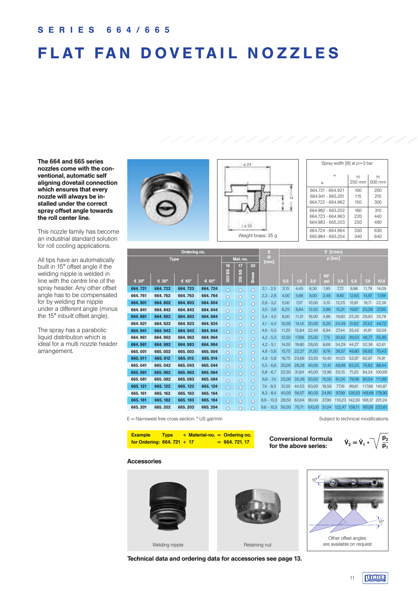## **FLAT FAN DOVETAIL NOZZLES**

**The 664 and 665 series nozzles come with the conventional, automatic self aligning dovetail connection which ensures that every nozzle will always be installed under the correct spray offset angle towards the roll center line.** 

This nozzle family has become an industrial standard solution for roll cooling applications.

All tips have an automatically built in 15° offset angle if the welding nipple is welded in line with the centre line of the spray header. Any other offset angle has to be compensated for by welding the nipple under a different angle (minus the 15° inbuilt offset angle).

The spray has a parabolic liquid distribution which is ideal for a multi nozzle header arrangement.





| Spray width [B] at p=3 bar |        |        |
|----------------------------|--------|--------|
| н                          | н      | н      |
| B                          | 250 mm | 500 mm |
| 664.721 - 664.921          | 100    | 200    |
| 664.941 - 665.201          | 115    | 210    |
| 664 722 - 664 962          | 150    | 300    |
| 664.982 - 665.202          | 160    | 310    |
| 664.723 - 664.963          | 220    | 440    |
| 664.983 - 665.203          | 250    | 490    |
| 664.724 - 664.964          | 330    | 630    |
| 665.984 - 665.204          | 340    | 640    |

|              |                         | Ordering no. |                               |                 |                            |              | E.             | V [I/min] |       |        |       |         |        |        |        |
|--------------|-------------------------|--------------|-------------------------------|-----------------|----------------------------|--------------|----------------|-----------|-------|--------|-------|---------|--------|--------|--------|
|              |                         | <b>Type</b>  |                               |                 | Mat. no.                   |              | Ø<br>[mm]      |           |       |        |       | p [bar] |        |        |        |
|              |                         |              |                               | 16              | 17                         | 30           |                |           |       |        |       |         |        |        |        |
|              |                         |              |                               | SS <sub>0</sub> | SS <sub>0</sub><br>$\circ$ | <b>Brass</b> |                |           |       |        | 40*   |         |        |        |        |
| <b>∢</b> 20° | $\dot{4}$ 30 $^{\circ}$ | ∢ 45°        | $\triangleleft$ 60 $^{\circ}$ | $\frac{30}{30}$ | ऊ                          |              |                | 0,5       | 1,0   | 2,0    | psi   | 3,0     | 5,0    | 7,0    | 10,0   |
| 664.721      | 664.722                 | 664.723      | 664.724                       | $\circ$         | $\circ$                    | $\circ$      | $2,1 - 2,5$    | 3.15      | 4.45  | 6.30   | 1.95  | 7.72    | 9.96   | 11.79  | 14,09  |
| 664.761      | 664.762                 | 664.763      | 664.764                       | $\circ$         | $\circ$                    | $\circ$      | $2,3 - 2,8$    | 4,00      | 5,66  | 8,00   | 2,48  | 9,80    | 12,65  | 14,97  | 17,89  |
| 664.801      | 664.802                 | 664.803      | 664.804                       | $\Omega$        | $\circ$                    | $\Omega$     | $2,6 - 3,2$    | 5,00      | 7.07  | 10,00  | 3,10  | 12,25   | 15,81  | 18,71  | 22,36  |
| 664.841      | 664, 842                | 664.843      | 664, 844                      | $\Omega$        | $\Omega$                   | $\Omega$     | $3,0 - 3,6$    | 6,25      | 8,84  | 12,50  | 3,88  | 15,31   | 19,67  | 23,39  | 27,95  |
| 664.881      | 664.882                 | 664.883      | 664.884                       | $\Omega$        | $\Omega$                   | $\circ$      | $3.4 - 4.0$    | 8.00      | 11.31 | 16.00  | 4,96  | 19,60   | 25.30  | 29.93  | 35,78  |
| 664.921      | 664.922                 | 664.923      | 664.924                       | $\circ$         | $\circ$                    | $\circ$      | 4,1<br>$-4,4$  | 10.00     | 14,14 | 20,00  | 6,20  | 24,49   | 31,62  | 37,42  | 44,72  |
| 664.941      | 664.942                 | 664.943      | 664.944                       | $\Omega$        | $\circ$                    | $\circ$      | $4,6 - 5,0$    | 11.20     | 15,84 | 22,40  | 6,94  | 27,44   | 35,42  | 41,91  | 50,09  |
| 664.961      | 664.962                 | 664.963      | 664.964                       | $\Omega$        | $\circ$                    | $\circ$      | $4,2 - 5,3$    | 12,50     | 17,68 | 25,00  | 7.75  | 30,62   | 39,53  | 46,77  | 55,90  |
| 664.981      | 664.982                 | 664.983      | 664.984                       | $\Omega$        | $\Omega$                   | $\Omega$     | $4,2 - 5,1$    | 14.00     | 19.80 | 28,00  | 8,68  | 34,29   | 44,27  | 52,38  | 62,61  |
| 665,001      | 665,002                 | 665,003      | 665, 004                      | $\circ$         | $\circ$                    | $\circ$      | $4,8 - 5,6$    | 15,75     | 22,27 | 31,50  | 9,76  | 38,57   | 49,80  | 58,92  | 70,43  |
| 665.011      | 665, 012                | 665.013      | 665.014                       | $\circ$         | $\circ$                    | $\circ$      | 4.9<br>$-5,8$  | 16.75     | 23.69 | 33.50  | 10,40 | 41,03   | 52.97  | 62.67  | 74,91  |
| 665, 041     | 665, 042                | 665, 043     | 665.044                       | $\circ$         | $\circ$                    | $\circ$      | 5,5<br>$-6,6$  | 20,00     | 28,28 | 40,00  | 12,41 | 48,99   | 63,25  | 74,83  | 89,44  |
| 665.061      | 665, 062                | 665, 063     | 665, 064                      | $\Omega$        | $\Omega$                   | $\circ$      | $5,8 - 6,7$    | 22,50     | 31.84 | 45,00  | 13,96 | 55,15   | 71,20  | 84,24  | 100,69 |
| 665, 081     | 665.082                 | 665, 083     | 665, 084                      | $\Omega$        | $\circ$                    | $\circ$      | 6.6<br>$-7,4$  | 25,00     | 35,36 | 50,00  | 15,50 | 61,24   | 79,06  | 93,54  | 111,80 |
| 665.121      | 665.122                 | 665.123      | 665.124                       | $\circ$         | $\Omega$                   | $\circ$      | $7,4 - 8,3$    | 31.50     | 44,55 | 63,00  | 19,56 | 77,16   | 99.61  | 117.86 | 140.87 |
| 665, 161     | 665.162                 | 665.163      | 665.164                       | $\circ$         | $\circ$                    | $\circ$      | $8,3 - 8,4$    | 40.00     | 56.57 | 80,00  | 24,80 | 97,99   | 126.50 | 149.68 | 178,90 |
| 665.181      | 665.182                 | 665.183      | 665.184                       | $\Omega$        | $\circ$                    | $\Omega$     | 8.9<br>$-10,3$ | 28,50     | 63,64 | 90,00  | 27,90 | 110,23  | 142.30 | 168,37 | 201,24 |
| 665.201      | 665.202                 | 665, 203     | 665, 204                      | $\Omega$        | $\Omega$                   | $\Omega$     | $9,6 - 10,5$   | 50,00     | 70,71 | 100,00 | 31,04 | 122.47  | 158.11 | 187.08 | 223,61 |

E = Narrowest free cross section. \* US gal/min Subject to technical modifications

| <b>Example</b>               | <b>Type</b> |  | $+$ Material-no. $=$ Ordering no. |  |
|------------------------------|-------------|--|-----------------------------------|--|
| for Ordering: $664.721 + 17$ |             |  | $= 664.721.17$                    |  |

**Conversional formula for the above series:**



#### **Accessories**



**Technical data and ordering data for accessories see page 13.**

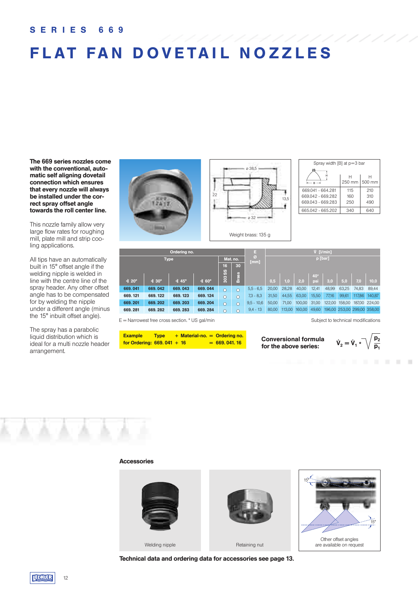### **S E R I E S 6 6 9**

## **FLAT FAN DOVETAIL NOZZLES**

**The 669 series nozzles come with the conventional, automatic self aligning dovetail connection which ensures that every nozzle will always be installed under the correct spray offset angle towards the roll center line.** 

This nozzle family allow very large flow rates for roughing mill, plate mill and strip cooling applications.

All tips have an automatically built in 15° offset angle if the welding nipple is welded in line with the centre line of the spray header. Any other offset angle has to be compensated for by welding the nipple under a different angle (minus the 15° inbuilt offset angle).

The spray has a parabolic liquid distribution which is ideal for a multi nozzle header arrangement.





| Spray width [B] at p=3 bar |             |             |
|----------------------------|-------------|-------------|
| <b>B</b>                   | н<br>250 mm | н<br>500 mm |
| 669041 - 664281            | 115         | 210         |
| 669042 - 669282            | 160         | 310         |
| 669.043 - 669.283          | 250         | 490         |
| 665.042 - 665.202          | 340         | 640         |

|              |               | Ordering no. |                   |         |              | ٦            |         |        |        |            | $V$ [ $l/min$ ] |        |        |                             |
|--------------|---------------|--------------|-------------------|---------|--------------|--------------|---------|--------|--------|------------|-----------------|--------|--------|-----------------------------|
| <b>Type</b>  |               |              | Mat. no.          | 30      | Ø)<br>[mm]   |              | p [bar] |        |        |            |                 |        |        |                             |
|              |               |              |                   | 16      |              |              |         |        |        |            |                 |        |        |                             |
| <b>∢</b> 20° | $\dot{4}$ 30° | <b>∢</b> 45° | $\dot{4}60^\circ$ | 303 SS  | <b>Brass</b> |              | 0,5     | 1,0    | 2,0    | 40*<br>psi | 3,0             | 5,0    | 7,0    | 10,0                        |
| 669.041      | 669.042       | 669.043      | 669.044           | $\circ$ | $\circ$      | $5,5 - 6,5$  | 20,00   | 28,28  | 40.00  | 12.41      | 48,99           | 63,25  | 74,83  | 89,44                       |
| 669.121      | 669.122       | 669.123      | 669.124           | $\circ$ | $\circ$      | $7,3 - 8,3$  | 31,50   | 44,55  | 63.00  | 15,50      | 77,16           | 99,61  | 117,86 | 140,87                      |
| 669.201      | 669.202       | 669.203      | 669.204           | $\circ$ | $\circ$      | $9.5 - 10.6$ | 50,00   | 71,00  | 100,00 | 31,00      | 122,00          | 158,00 |        | 187,00 224,00               |
| 669.281      | 669.282       | 669.283      | 669.284           | $\circ$ | $\circ$      | $9,4 - 13$   | 80,00   | 113,00 | 160,00 | 49,60      |                 |        |        | 196,00 253,00 299,00 358,00 |

E = Narrowest free cross section. \* US gal/min Subject to technical modifications Subject to technical modifications

| <b>Example</b>               | <b>Type</b> |  | $+$ Material-no. $=$ Ordering no. |
|------------------------------|-------------|--|-----------------------------------|
| for Ordering: $669.041 + 16$ |             |  | $= 669.041.16$                    |

**Conversional formula for the above series:**



. . . . . .

#### **Accessories**



**Technical data and ordering data for accessories see page 13.**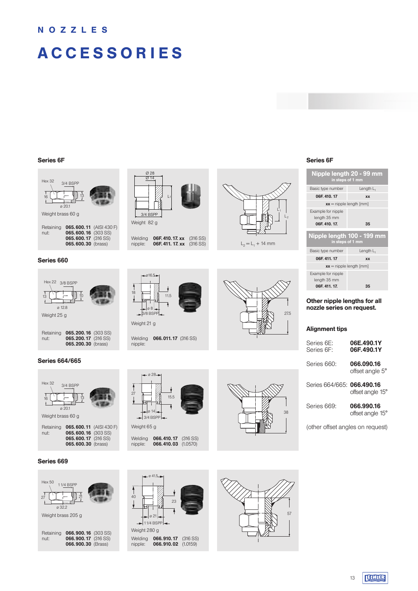### **N O Z Z L E S**

## **A C C E S S O R I E S**



#### **Series 660**

| <b>Hex 22</b><br>3/8 BSPP<br>10<br>13<br>ø 12.8<br>Weight 25 g                        | $-016.5$<br>18<br>11.5<br>. ø8 -<br>$-3/8$ BSPP $-$ |
|---------------------------------------------------------------------------------------|-----------------------------------------------------|
|                                                                                       | Weight 21 g                                         |
| 065.200.16 (303 SS)<br>Retaining<br>065.200.17 (316 SS)<br>nut:<br>065.200.30 (brass) | 066.011<br>Welding<br>nipple:                       |

#### **Series 664/665**

×

| <b>Hex 32</b><br>16 | 3/4 BSPP<br>13<br>0.201                                                                     |  |
|---------------------|---------------------------------------------------------------------------------------------|--|
| Weight brass 60 g   |                                                                                             |  |
| Retaining<br>nut:   | 065.600.11 (AISI 430 F)<br>065.600.16 (303 SS)<br>065.600.17 (316 SS)<br>065.600.30 (brass) |  |

#### **Series 669**





| Welding | <b>06F.410.17.xx</b> (316 SS)    |  |
|---------|----------------------------------|--|
| nipple: | <b>06F. 411. 17. xx</b> (316 SS) |  |



 $L_2 = L_1 + 14$  mm



Welding **066.011.17** (316 SS) nipple:





Welding **066.410.17** (316 SS) nipple: **066.410.03** (1.0570)





| Nipple length 20 - 99 mm<br>in steps of 1 mm        |              |
|-----------------------------------------------------|--------------|
| Basic type number                                   | Length $L_1$ |
| 06F. 410. 17                                        | <b>XX</b>    |
| $xx =$ nipple length [mm]                           |              |
| Example for nipple<br>length 35 mm<br>06F. 410. 17. | 35           |
| Nipple length 100 - 199 mm<br>in steps of 1 mm      |              |
| Basic type number                                   | Length $L_1$ |
| 06F. 411. 17                                        | <b>XX</b>    |
| $xx =$ nipple length [mm]                           |              |
| Example for nipple                                  |              |

**06F. 411. 17. 35 Other nipple lengths for all**

#### **nozzle series on request.**

#### **Alignment tips**

| Series 6F:<br>Series 6F:   | 06E.490.1Y<br>06F.490.1Y      |
|----------------------------|-------------------------------|
| Series 660:                | 066.090.16<br>offset angle 5° |
| Series 664/665: 066.490.16 | offset angle 15°              |

Series 669: **066.990.16** offset angle 15°

(other offset angles on request)

Weight 280 g 11/4 BSPP 23  $0.415$ ø 21 ا<br>40

Welding **066.910.17** (316 SS) nipple: **066.910.02** (1.0159)



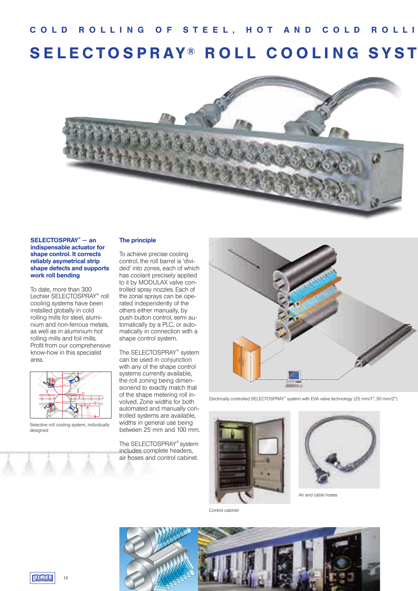### C O L D R O L L I N G O F S T E E L , H O T A N D C O L D R O L L I **SELECTOSPRAY® ROLL COOLING SYST**



#### **SELECTOSPRAY® — an indispensable actuator for shape control. It corrects reliably asymetrical strip shape defects and supports work roll bending**

To date, more than 300 Lechler SELECTOSPRAY® roll cooling systems have been installed globally in cold rolling mills for steel, aluminium and non-ferrous metals, as well as in aluminium hot rolling mills and foil mills. Profit from our comprehensive know-how in this specialist area.



Selective roll cooling system, individually designed

### **The principle**

To achieve precise cooling control, the roll barrel is 'divided' into zones, each of which has coolant precisely applied to it by MODULAX valve controlled spray nozzles. Each of the zonal sprays can be operated independently of the others either manually, by push button control, semi automatically by a PLC, or automatically in connection with a shape control system.

The SELECTOSPRAY® system can be used in conjunction with any of the shape control systems currently available, the roll zoning being dimensionend to exactly match that of the shape metering roll involved. Zone widths for both automated and manually controlled systems are available, widths in general use being between 25 mm and 100 mm.

The SELECTOSPRAY® system includes complete headers, air hoses and control cabinet.



Electrically controlled SELECTOSPRAY® system with EVA valve technology (25 mm/1", 50 mm/2")





Air and cable hoses

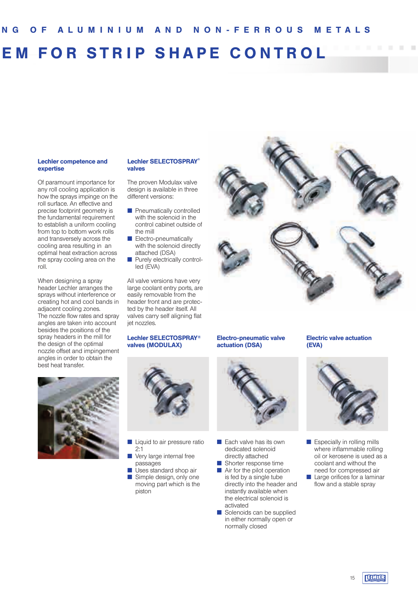## **EM FOR STRIP SHAPE CONTROL**

#### **Lechler competence and expertise**

Of paramount importance for any roll cooling application is how the sprays impinge on the roll surface. An effective and precise footprint geometry is the fundamental requirement to establish a uniform cooling from top to bottom work rolls and transversely across the cooling area resulting in an optimal heat extraction across the spray cooling area on the roll.

When designing a spray header Lechler arranges the sprays without interference or creating hot and cool bands in adjacent cooling zones. The nozzle flow rates and spray angles are taken into account besides the positions of the spray headers in the mill for the design of the optimal nozzle offset and impingement angles in order to obtain the best heat transfer.



#### **Lechler SELECTOSPRAY® valves**

The proven Modulax valve design is available in three different versions:

- **n** Pneumatically controlled with the solenoid in the control cabinet outside of the mill
- $\blacksquare$  Electro-pneumatically with the solenoid directly attached (DSA)
- **n** Purely electrically controlled (EVA)

All valve versions have very large coolant entry ports, are easily removable from the header front and are protected by the header itself. All valves carry self aligning flat iet nozzles.

#### **Lechler SELECTOSPRAY® valves (MODULAX)**



- Liquid to air pressure ratio 2:1
- Very large internal free passages
- Uses standard shop air  $\blacksquare$  Simple design, only one moving part which is the piston



#### **Electro-pneumatic valve actuation (DSA)**



- $\blacksquare$  Each valve has its own dedicated solenoid directly attached  $\blacksquare$  Shorter response time
- $\blacksquare$  Air for the pilot operation is fed by a single tube directly into the header and instantly available when the electrical solenoid is activated
- $\blacksquare$  Solenoids can be supplied in either normally open or normally closed

### **Electric valve actuation (EVA)**



 $\blacksquare$  Especially in rolling mills where inflammable rolling oil or kerosene is used as a coolant and without the need for compressed air  $\blacksquare$  Large orifices for a laminar flow and a stable spray